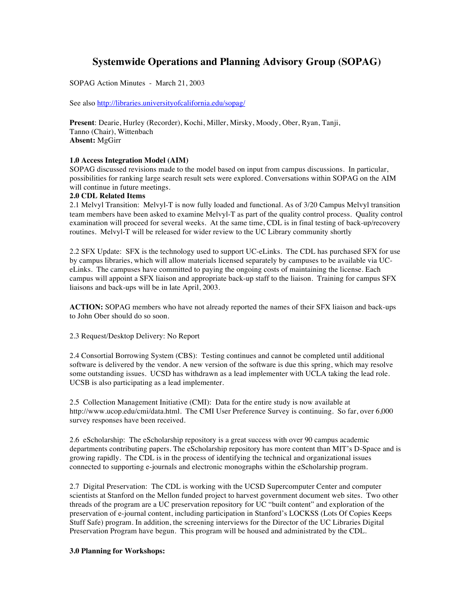# **Systemwide Operations and Planning Advisory Group (SOPAG)**

SOPAG Action Minutes - March 21, 2003

See also http://libraries.universityofcalifornia.edu/sopag/

**Present**: Dearie, Hurley (Recorder), Kochi, Miller, Mirsky, Moody, Ober, Ryan, Tanji, Tanno (Chair), Wittenbach **Absent:** MgGirr

# **1.0 Access Integration Model (AIM)**

SOPAG discussed revisions made to the model based on input from campus discussions. In particular, possibilities for ranking large search result sets were explored. Conversations within SOPAG on the AIM will continue in future meetings.

## **2.0 CDL Related Items**

2.1 Melvyl Transition: Melvyl-T is now fully loaded and functional. As of 3/20 Campus Melvyl transition team members have been asked to examine Melvyl-T as part of the quality control process. Quality control examination will proceed for several weeks. At the same time, CDL is in final testing of back-up/recovery routines. Melvyl-T will be released for wider review to the UC Library community shortly

2.2 SFX Update: SFX is the technology used to support UC-eLinks. The CDL has purchased SFX for use by campus libraries, which will allow materials licensed separately by campuses to be available via UCeLinks. The campuses have committed to paying the ongoing costs of maintaining the license. Each campus will appoint a SFX liaison and appropriate back-up staff to the liaison. Training for campus SFX liaisons and back-ups will be in late April, 2003.

**ACTION:** SOPAG members who have not already reported the names of their SFX liaison and back-ups to John Ober should do so soon.

2.3 Request/Desktop Delivery: No Report

2.4 Consortial Borrowing System (CBS): Testing continues and cannot be completed until additional software is delivered by the vendor. A new version of the software is due this spring, which may resolve some outstanding issues. UCSD has withdrawn as a lead implementer with UCLA taking the lead role. UCSB is also participating as a lead implementer.

2.5 Collection Management Initiative (CMI): Data for the entire study is now available at http://www.ucop.edu/cmi/data.html. The CMI User Preference Survey is continuing. So far, over 6,000 survey responses have been received.

2.6 eScholarship: The eScholarship repository is a great success with over 90 campus academic departments contributing papers. The eScholarship repository has more content than MIT's D-Space and is growing rapidly. The CDL is in the process of identifying the technical and organizational issues connected to supporting e-journals and electronic monographs within the eScholarship program.

2.7 Digital Preservation: The CDL is working with the UCSD Supercomputer Center and computer scientists at Stanford on the Mellon funded project to harvest government document web sites. Two other threads of the program are a UC preservation repository for UC "built content" and exploration of the preservation of e-journal content, including participation in Stanford's LOCKSS (Lots Of Copies Keeps Stuff Safe) program. In addition, the screening interviews for the Director of the UC Libraries Digital Preservation Program have begun. This program will be housed and administrated by the CDL.

## **3.0 Planning for Workshops:**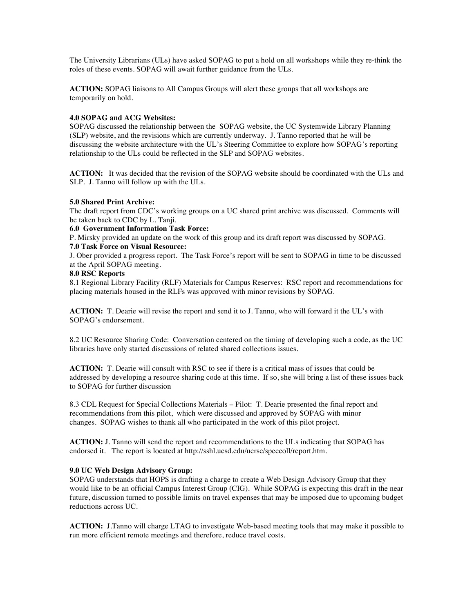The University Librarians (ULs) have asked SOPAG to put a hold on all workshops while they re-think the roles of these events. SOPAG will await further guidance from the ULs.

**ACTION:** SOPAG liaisons to All Campus Groups will alert these groups that all workshops are temporarily on hold.

## **4.0 SOPAG and ACG Websites:**

SOPAG discussed the relationship between the SOPAG website, the UC Systemwide Library Planning (SLP) website, and the revisions which are currently underway. J. Tanno reported that he will be discussing the website architecture with the UL's Steering Committee to explore how SOPAG's reporting relationship to the ULs could be reflected in the SLP and SOPAG websites.

**ACTION:** It was decided that the revision of the SOPAG website should be coordinated with the ULs and SLP. J. Tanno will follow up with the ULs.

#### **5.0 Shared Print Archive:**

The draft report from CDC's working groups on a UC shared print archive was discussed. Comments will be taken back to CDC by L. Tanji.

#### **6.0 Government Information Task Force:**

P. Mirsky provided an update on the work of this group and its draft report was discussed by SOPAG.

# **7.0 Task Force on Visual Resource:**

J. Ober provided a progress report. The Task Force's report will be sent to SOPAG in time to be discussed at the April SOPAG meeting.

#### **8.0 RSC Reports**

8.1 Regional Library Facility (RLF) Materials for Campus Reserves: RSC report and recommendations for placing materials housed in the RLFs was approved with minor revisions by SOPAG.

**ACTION:** T. Dearie will revise the report and send it to J. Tanno, who will forward it the UL's with SOPAG's endorsement.

8.2 UC Resource Sharing Code: Conversation centered on the timing of developing such a code, as the UC libraries have only started discussions of related shared collections issues.

**ACTION:** T. Dearie will consult with RSC to see if there is a critical mass of issues that could be addressed by developing a resource sharing code at this time. If so, she will bring a list of these issues back to SOPAG for further discussion

8.3 CDL Request for Special Collections Materials – Pilot: T. Dearie presented the final report and recommendations from this pilot, which were discussed and approved by SOPAG with minor changes. SOPAG wishes to thank all who participated in the work of this pilot project.

**ACTION:** J. Tanno will send the report and recommendations to the ULs indicating that SOPAG has endorsed it. The report is located at http://sshl.ucsd.edu/ucrsc/speccoll/report.htm.

## **9.0 UC Web Design Advisory Group:**

SOPAG understands that HOPS is drafting a charge to create a Web Design Advisory Group that they would like to be an official Campus Interest Group (CIG). While SOPAG is expecting this draft in the near future, discussion turned to possible limits on travel expenses that may be imposed due to upcoming budget reductions across UC.

**ACTION:** J.Tanno will charge LTAG to investigate Web-based meeting tools that may make it possible to run more efficient remote meetings and therefore, reduce travel costs.